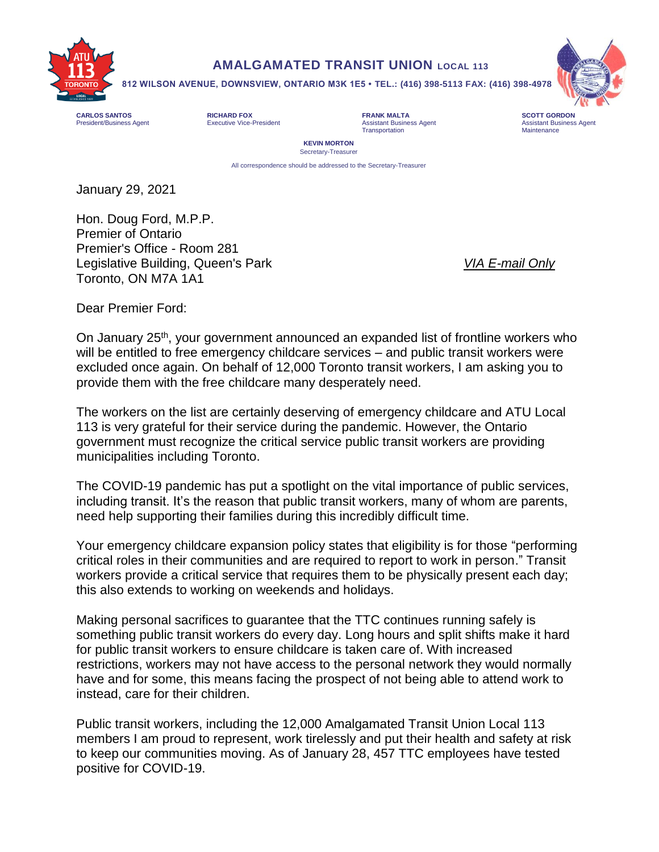

## **AMALGAMATED TRANSIT UNION LOCAL 113**

**812 WILSON AVENUE, DOWNSVIEW, ONTARIO M3K 1E5 • TEL.: (416) 398-5113 FAX: (416) 398-4978**

**CARLOS SANTOS RICHARD FOX FRANK MALTA SCOTT GORDON**

Transportation



President/Business Agent **Assistant Business Agent** Assistant Business Agent Assistant Business Agent Assistant Business Agent<br>Transportation **Assistant Business Agent** Transportation **Assistant Business Agent** Assistant B

**KEVIN MORTON**  Secretary-Treasurer

All correspondence should be addressed to the Secretary-Treasurer

January 29, 2021

Hon. Doug Ford, M.P.P. Premier of Ontario Premier's Office - Room 281 Legislative Building, Queen's Park *VIA E-mail Only* Toronto, ON M7A 1A1

Dear Premier Ford:

On January 25<sup>th</sup>, your government announced an expanded list of frontline workers who will be entitled to free emergency childcare services – and public transit workers were excluded once again. On behalf of 12,000 Toronto transit workers, I am asking you to provide them with the free childcare many desperately need.

The workers on the list are certainly deserving of emergency childcare and ATU Local 113 is very grateful for their service during the pandemic. However, the Ontario government must recognize the critical service public transit workers are providing municipalities including Toronto.

The COVID-19 pandemic has put a spotlight on the vital importance of public services, including transit. It's the reason that public transit workers, many of whom are parents, need help supporting their families during this incredibly difficult time.

Your emergency childcare expansion policy states that eligibility is for those "performing critical roles in their communities and are required to report to work in person." Transit workers provide a critical service that requires them to be physically present each day; this also extends to working on weekends and holidays.

Making personal sacrifices to guarantee that the TTC continues running safely is something public transit workers do every day. Long hours and split shifts make it hard for public transit workers to ensure childcare is taken care of. With increased restrictions, workers may not have access to the personal network they would normally have and for some, this means facing the prospect of not being able to attend work to instead, care for their children.

Public transit workers, including the 12,000 Amalgamated Transit Union Local 113 members I am proud to represent, work tirelessly and put their health and safety at risk to keep our communities moving. As of January 28, 457 TTC employees have tested positive for COVID-19.